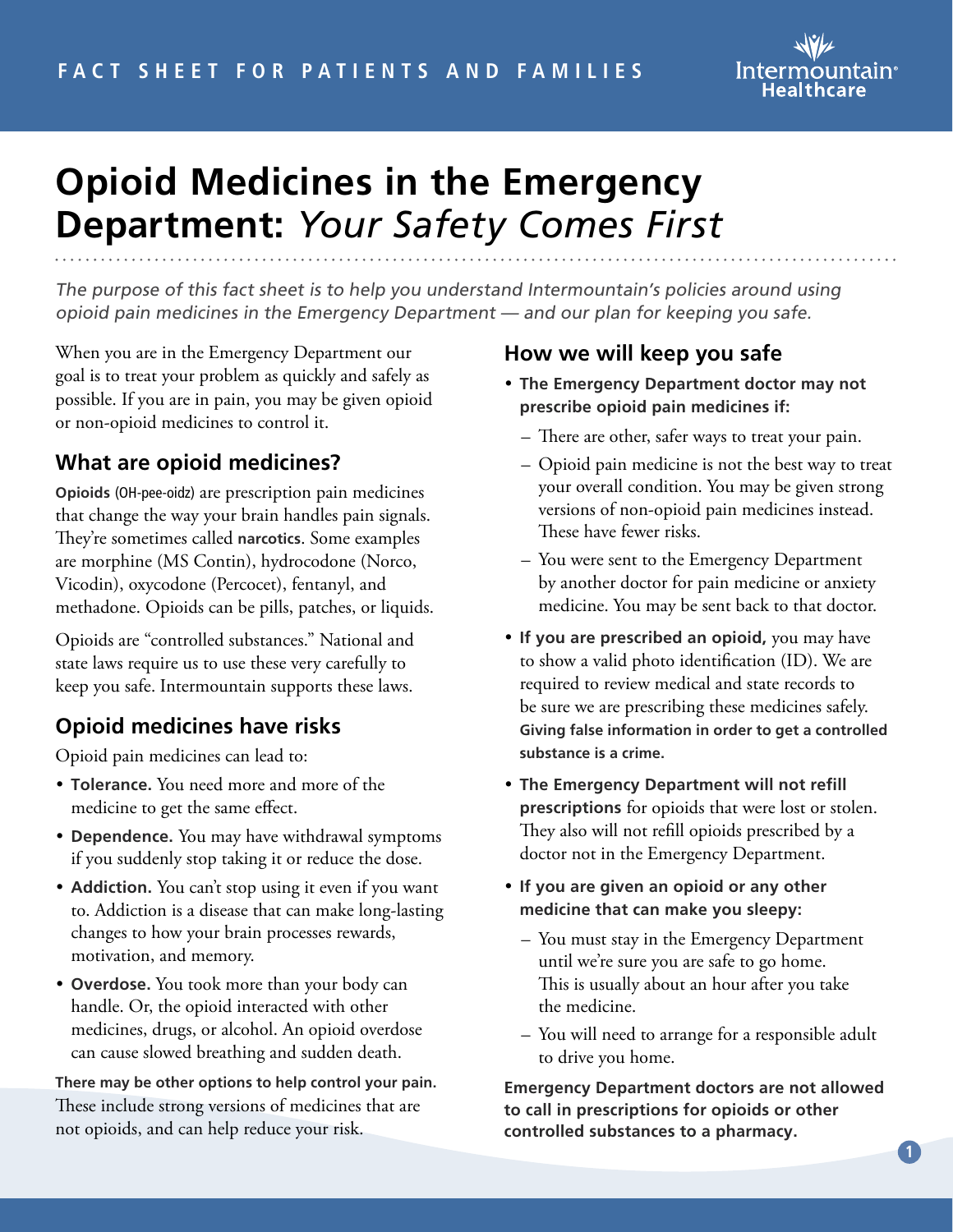

# **Opioid Medicines in the Emergency Department:** *Your Safety Comes First*

The purpose of this fact sheet is to help you understand Intermountain's policies around using opioid pain medicines in the Emergency Department — and our plan for keeping you safe.

When you are in the Emergency Department our goal is to treat your problem as quickly and safely as possible. If you are in pain, you may be given opioid or non-opioid medicines to control it.

## **What are opioid medicines?**

**Opioids** (OH-pee-oidz) are prescription pain medicines that change the way your brain handles pain signals. They're sometimes called **narcotics**. Some examples are morphine (MS Contin), hydrocodone (Norco, Vicodin), oxycodone (Percocet), fentanyl, and methadone. Opioids can be pills, patches, or liquids.

Opioids are "controlled substances." National and state laws require us to use these very carefully to keep you safe. Intermountain supports these laws.

## **Opioid medicines have risks**

Opioid pain medicines can lead to:

- **Tolerance.** You need more and more of the medicine to get the same effect.
- **Dependence.** You may have withdrawal symptoms if you suddenly stop taking it or reduce the dose.
- **Addiction.** You can't stop using it even if you want to. Addiction is a disease that can make long-lasting changes to how your brain processes rewards, motivation, and memory.
- **Overdose.** You took more than your body can handle. Or, the opioid interacted with other medicines, drugs, or alcohol. An opioid overdose can cause slowed breathing and sudden death.

**There may be other options to help control your pain.** These include strong versions of medicines that are not opioids, and can help reduce your risk.

### **How we will keep you safe**

- **The Emergency Department doctor may not prescribe opioid pain medicines if:** 
	- There are other, safer ways to treat your pain.
	- Opioid pain medicine is not the best way to treat your overall condition. You may be given strong versions of non-opioid pain medicines instead. These have fewer risks.
	- You were sent to the Emergency Department by another doctor for pain medicine or anxiety medicine. You may be sent back to that doctor.
- **If you are prescribed an opioid,** you may have to show a valid photo identification (ID). We are required to review medical and state records to be sure we are prescribing these medicines safely. **Giving false information in order to get a controlled substance is a crime.**
- **The Emergency Department will not refill prescriptions** for opioids that were lost or stolen. They also will not refill opioids prescribed by a doctor not in the Emergency Department.
- **If you are given an opioid or any other medicine that can make you sleepy:** 
	- You must stay in the Emergency Department until we're sure you are safe to go home. This is usually about an hour after you take the medicine.
	- You will need to arrange for a responsible adult to drive you home.

**Emergency Department doctors are not allowed to call in prescriptions for opioids or other controlled substances to a pharmacy.**